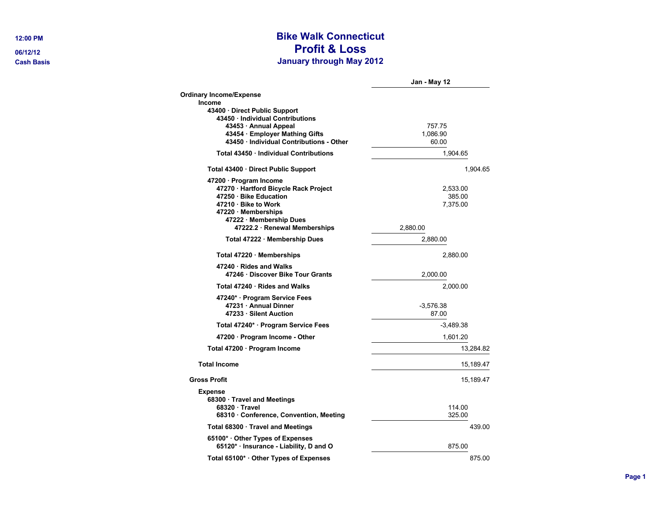## **12:00 PM Bike Walk Connecticut 06/12/12 Profit & Loss Cash Basis January through May 2012**

|                                                                                                                                                                                                    | Jan - May 12                               |
|----------------------------------------------------------------------------------------------------------------------------------------------------------------------------------------------------|--------------------------------------------|
| <b>Ordinary Income/Expense</b>                                                                                                                                                                     |                                            |
| Income<br>43400 Direct Public Support<br>43450 · Individual Contributions<br>43453 Annual Appeal<br>43454 · Employer Mathing Gifts<br>43450 · Individual Contributions - Other                     | 757.75<br>1,086.90<br>60.00                |
| Total 43450 Individual Contributions                                                                                                                                                               | 1,904.65                                   |
| Total 43400 · Direct Public Support                                                                                                                                                                | 1,904.65                                   |
| 47200 · Program Income<br>47270 · Hartford Bicycle Rack Project<br>47250 Bike Education<br>47210 · Bike to Work<br>47220 · Memberships<br>47222 · Membership Dues<br>47222.2 · Renewal Memberships | 2,533.00<br>385.00<br>7,375.00<br>2,880.00 |
| Total 47222 · Membership Dues                                                                                                                                                                      | 2,880.00                                   |
| Total 47220 Memberships                                                                                                                                                                            | 2,880.00                                   |
| 47240 · Rides and Walks<br>47246 Discover Bike Tour Grants                                                                                                                                         | 2,000.00                                   |
| Total 47240 · Rides and Walks                                                                                                                                                                      | 2.000.00                                   |
| 47240* · Program Service Fees<br>47231 · Annual Dinner<br>47233 · Silent Auction                                                                                                                   | $-3,576.38$<br>87.00                       |
| Total 47240* · Program Service Fees                                                                                                                                                                | $-3,489.38$                                |
| 47200 · Program Income - Other                                                                                                                                                                     | 1,601.20                                   |
| Total 47200 · Program Income                                                                                                                                                                       | 13,284.82                                  |
| <b>Total Income</b>                                                                                                                                                                                | 15,189.47                                  |
| <b>Gross Profit</b>                                                                                                                                                                                | 15,189.47                                  |
| <b>Expense</b><br>68300 · Travel and Meetings<br>68320 Travel<br>68310 · Conference, Convention, Meeting                                                                                           | 114.00<br>325.00                           |
| Total 68300 · Travel and Meetings                                                                                                                                                                  | 439.00                                     |
| 65100* Other Types of Expenses<br>65120* · Insurance - Liability, D and O                                                                                                                          | 875.00                                     |
| Total 65100* Other Types of Expenses                                                                                                                                                               | 875.00                                     |